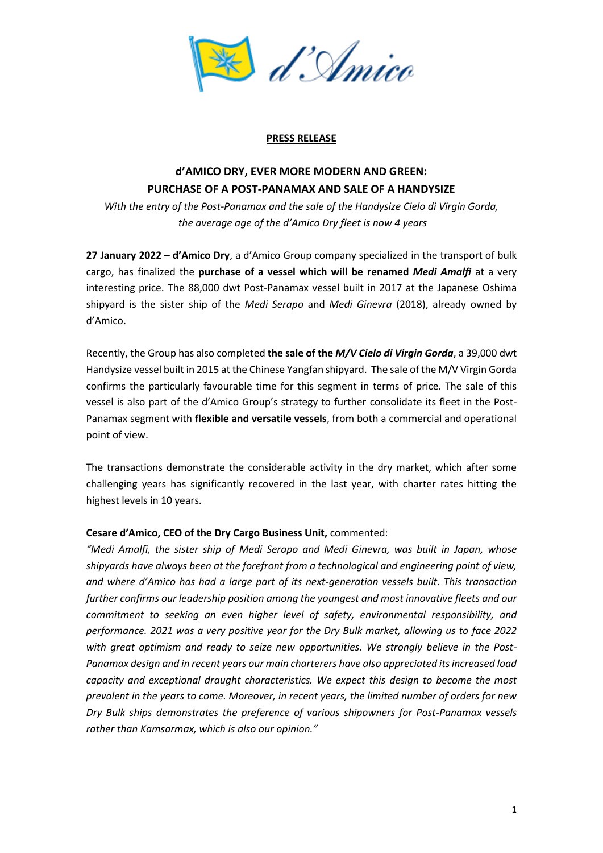

## **PRESS RELEASE**

## **d'AMICO DRY, EVER MORE MODERN AND GREEN: PURCHASE OF A POST-PANAMAX AND SALE OF A HANDYSIZE**

*With the entry of the Post-Panamax and the sale of the Handysize Cielo di Virgin Gorda, the average age of the d'Amico Dry fleet is now 4 years*

**27 January 2022** – **d'Amico Dry**, a d'Amico Group company specialized in the transport of bulk cargo, has finalized the **purchase of a vessel which will be renamed** *Medi Amalfi* at a very interesting price. The 88,000 dwt Post-Panamax vessel built in 2017 at the Japanese Oshima shipyard is the sister ship of the *Medi Serapo* and *Medi Ginevra* (2018), already owned by d'Amico.

Recently, the Group has also completed **the sale of the** *M/V Cielo di Virgin Gorda*, a 39,000 dwt Handysize vessel built in 2015 at the Chinese Yangfan shipyard. The sale of the M/V Virgin Gorda confirms the particularly favourable time for this segment in terms of price. The sale of this vessel is also part of the d'Amico Group's strategy to further consolidate its fleet in the Post-Panamax segment with **flexible and versatile vessels**, from both a commercial and operational point of view.

The transactions demonstrate the considerable activity in the dry market, which after some challenging years has significantly recovered in the last year, with charter rates hitting the highest levels in 10 years.

## **Cesare d'Amico, CEO of the Dry Cargo Business Unit,** commented:

*"Medi Amalfi, the sister ship of Medi Serapo and Medi Ginevra, was built in Japan, whose shipyards have always been at the forefront from a technological and engineering point of view, and where d'Amico has had a large part of its next-generation vessels built*. *This transaction further confirms our leadership position among the youngest and most innovative fleets and our commitment to seeking an even higher level of safety, environmental responsibility, and performance. 2021 was a very positive year for the Dry Bulk market, allowing us to face 2022 with great optimism and ready to seize new opportunities. We strongly believe in the Post-Panamax design and in recent years our main charterers have also appreciated its increased load capacity and exceptional draught characteristics. We expect this design to become the most prevalent in the years to come. Moreover, in recent years, the limited number of orders for new Dry Bulk ships demonstrates the preference of various shipowners for Post-Panamax vessels rather than Kamsarmax, which is also our opinion."*